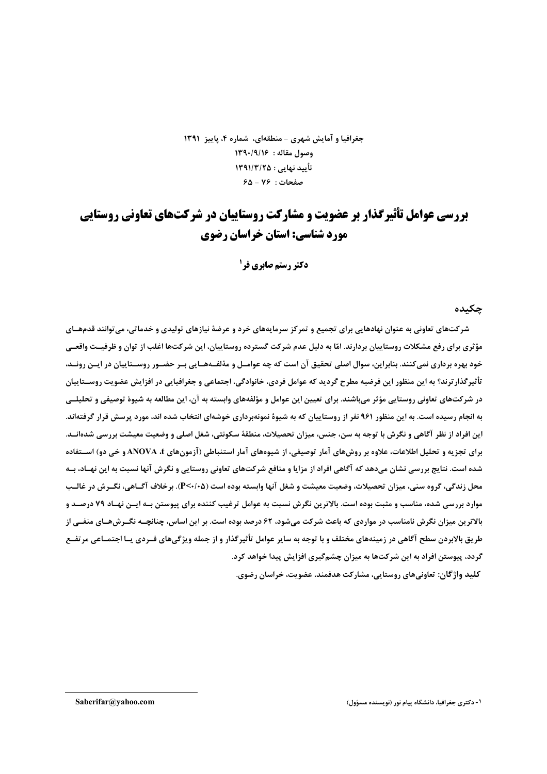جغرافيا و آمايش شهري – منطقهاي، شماره ۴، پاييز ۱۳۹۱ وصول مقاله : ١٣٩٠/٩/١۶ تأييد نهايي : ١٣٩١/٣/٢٥  $6 - 19$ : صفحات

# **بررسی عوامل تأثیرگذار بر عضویت و مشارکت روستاییان در شرکتهای تعاونی روستایی** مورد شناسی: استان خراسان رضوی

**دکتر رستم صابری فر<sup>1</sup>** 

جكىدە

شرکتهای تعاونی به عنوان نهادهایی برای تجمیع و تمرکز سرمایههای خرد و عرضهٔ نیازهای تولیدی و خدماتی، می توانند قدمهــای مؤثری برای رفع مشکلات روستاییان بردارند. امّا به دلیل عدم شرکت گسترده روستاییان، این شرکتها اغلب از توان و ظرفیـت واقعــی خود بهره برداری نمیکنند. بنابراین، سوال اصلی تحقیق آن است که چه عوامـل و مۀلفـههـایی بـر حضـور روســتاییان در ایــن رونــد، تأثیر گذار ترند؟ به این منظور این فرضیه مطرح گردید که عوامل فردی، خانوادگی، اجتماعی و جغرافیایی در افزایش عضویت روســتاییان در شركتهاي تعاوني روستايي مؤثر ميباشند. براي تعيين اين عوامل و مؤلفههاي وابسته به آن، اين مطالعه به شيوة توصيفي و تحليلــي به انجام رسیده است. به این منظور ۹۶۱ نفر از روستاییان که به شیوهٔ نمونهبرداری خوشهای انتخاب شده اند، مورد پرسش قرار گرفتهاند. این افراد از نظر آگاهی و نگرش با توجه به سن، جنس، میزان تحصیلات، منطقهٔ سکونتی، شغل اصلی و وضعیت معیشت بررسی شدهانــد. برای تجزیه و تحلیل اطلاعات، علاوه بر روشهای آمار توصیفی، از شیوههای آمار استنباطی (آزمونهای ANOVA ،t و خی دو) اسـتفاده شده است. نتایج بررسی نشان میدهد که آگاهی افراد از مزایا و منافع شرکتهای تعاونی روستایی و نگرش آنها نسبت به این نهـاد، بــه محل زندگی، گروه سنی، میزان تحصیلات، وضعیت معیشت و شغل آنها وابسته بوده است (P<۰/۰۵). برخلاف آگــاهی، نگــرش در غالــب موارد بررسی شده، مناسب و مثبت بوده است. بالاترین نگرش نسبت به عوامل ترغیب کننده برای پیوستن بــه ایــن نهـاد ۷۹ درصــد و بالاترین میزان نگرش نامناسب در مواردی که باعث شرکت میشود، ۶۲ درصد بوده است. بر این اساس، چنانچـه نگـرشهـای منفـی از طريق بالابردن سطح آگاهي در زمينههاي مختلف و با توجه به ساير عوامل تأثيرگذار و از جمله ويژگيهاي فــردي يــا اجتمــاعي مرتفــع گردد، پیوستن افراد به این شرکتها به میزان چشمگیری افزایش پیدا خواهد کرد.

کلید واژگان: تعاونیهای روستایی، مشارکت هدفمند، عضویت، خراسان رضوی.

۱- دکتری جغرافیا، دانشگاه پیام نور (نویسنده مسؤول)

Saberifar@vahoo.com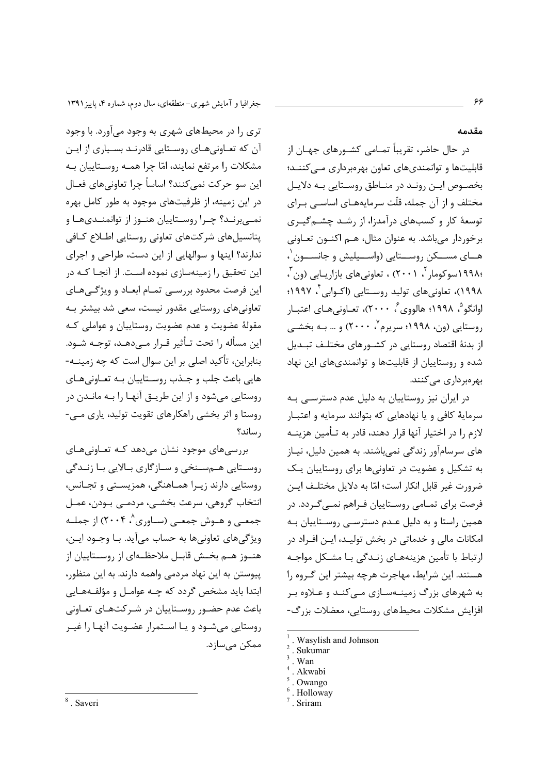جغرافیا و آمایش شهری-منطقهای، سال دوم، شماره ۴، پاییز ۱۳۹۱

تری را در محیطهای شهری به وجود میآورد. با وجود آن که تعـاونیهـای روسـتایی قادرنـد بسـياری از ايـن مشکلات ۱٫ مرتفع نمایند، امّا چرا همـه روسـتاییان بـه اين سو حركت نمي كنند؟ اساساً چرا تعاونيهاي فعــال در این زمینه، از ظرفیتهای موجود به طور کامل بهره نمے ہرنـد؟ چـرا روسـتاییان هنـوز از توانمنـدیهـا و یتانسپل های شرکتهای تعاونی روستایی اطـلاع کـافی ندارند؟ اینها و سوالهایی از این دست، طراحی و اجرای این تحقیق را زمینهسازی نموده اسـت. از آنجـا کـه در این فرصت محدود بررسی تمـام ابعـاد و ویژگـیهـای تعاونی های روستایی مقدور نیست، سعی شد بیشتر بـه مقولهٔ عضویت و عدم عضویت روستاییان و عواملی کـه این مسأله را تحت تـأثیر قـرار مـی۱دهـد، توجـه شـود. بنابراین، تأکید اصلی بر این سوال است که چه زمینــه-هايي باعث جلب و جـذب روسـتاييان بـه تعـاونيهـاي روستایی می شود و از این طریــق آنهـا را بــه مانــدن در روستا و اثر بخشی راهکارهای تقویت تولید، پاری مـی-ر ساند؟

بررسی های موجود نشان می دهد کـه تعـاونی هـای روستایی هـمسـنخی و سـازگاری بـالایی بـا زنـدگی روستایی دارند زیرا هماهنگی، همزیستی و تجانس، انتخاب گروهي، سرعت بخشــي، مردمــي بــودن، عمــل جمعـی و هــوش جمعـی (ســاوری^، ۲۰۰۴) از جملــه ويژگى هاى تعاونى ها به حساب مى آيد. بـا وجـود ايـن، هنــوز هــم بخــش قابــل ملاحظــهاى از روســتاييان از یپوستن به این نهاد مردمی واهمه دارند. به این منظور، ابتدا باید مشخص گردد که چـه عوامـل و مؤلفـههـایی باعث عدم حضور روستاییان در شـرکتهـای تعـاونی روستایی می شود و یا استمرار عضویت آنها را غیـر ممکن مے سازد.

<sup>8</sup> Saveri

مقدمه

در حال حاضر، تقریباً تمــامی کشــورهای جهــان از قابلیتها و توانمندیهای تعاون بهرهبرداری مے کننــد؛ بخصوص ایـن رونـد در منـاطق روسـتایی بـه دلایـل مختلف و از آن جمله، قلّت سرمایههـای اساســی بـرای توسعهٔ کار و کسبهای درآمدزا، از رشـد چشـمگیـری برخوردار مے باشد. به عنوان مثال، هـم اکنــون تعــاونی هــای مســکن روســتایی (واســیلیش و جانســون ٰ، ،۱۹۹۸سوکومار<sup>۲</sup>، ۲۰۰۱) ، تعاونی های بازاریـابی (ون<sup>۳</sup>، ۱۹۹۸)، تعاونیهای تولید روسـتایی (اکــوابی ٔ ۱۹۹۷؛ اوانگو<sup>۵</sup>، ۱۹۹۸؛ هالووی<sup>۶</sup>، ۲۰۰۰)، تعـاونی هـای اعتبـار روستایی (ون، ۱۹۹۸؛ سرپرم<sup>۷</sup>، ۲۰۰۰) و … بـه بخشـ*ـی* از بدنهٔ اقتصاد روستایی در کشـورهای مختلـف تبـدیل شده و روستاییان از قابلیتها و توانمندیهای این نهاد بھر میر داری مے کنند.

در ایران نیز روستاییان به دلیل عدم دسترسی به سرمايهٔ کافي و يا نهادهايي که بتوانند سرمايه و اعتبـار لازم را در اختیار آنها قرار دهند، قادر به تـأمین هزینــه های سرسامآور زندگی نمیباشند. به همین دلیل، نیـاز به تشکیل و عضویت در تعاونیها برای روستاییان یک ضرورت غير قابل انكار است؛ امّا به دلايل مختلـف ايـن فرصت برای تمـامی روسـتاییان فـراهم نمـی *گـ*ردد. در همین راستا و به دلیل عـدم دسترسـی روسـتاییان بـه امکانات مالی و خدماتی در بخش تولیـد، ایـن افـراد در ارتباط با تأمين هزينههـاي زنـدگي بـا مشـكل مواجـه هستند. این شرایط، مهاجرت هرچه بیشتر این گروه را به شهرهای بزرگ زمینـهسـازی مـیکنـد و عـلاوه بـر افزایش مشکلات محیطهای روستایی، معضلات بزرگ-

Wasylish and Johnson

Sukumar

Wan

Akwabi

Owango

Holloway

<sup>.</sup> Sriram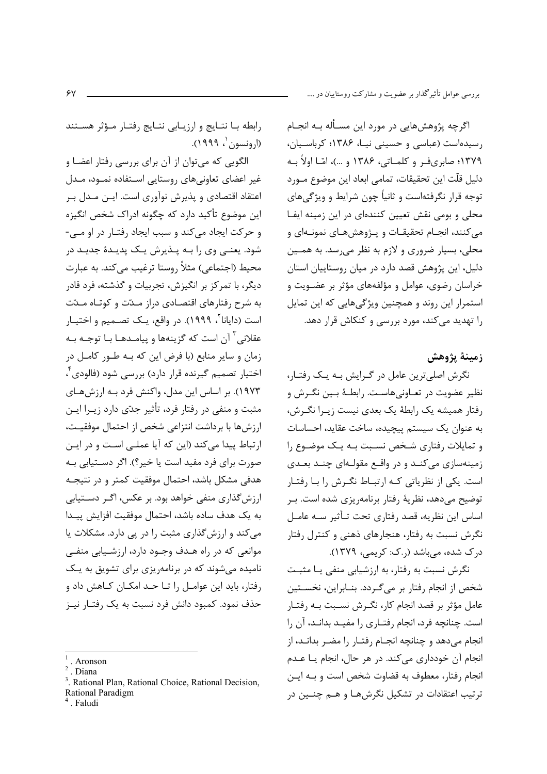اگرچه پژوهشهایی در مورد این مسـأله بـه انجـام رسیدهاست (عباسی و حسینی نیـا، ۱۳۸۶؛ کرباسـیان، ۱۳۷۹؛ صابری ف و کلمـاتی، ۱۳۸۶ و …)، امّـا اولاً بـه دليل قلّت اين تحقيقات، تمامي ابعاد اين موضوع مـورد توجه قرار نگرفتهاست و ثانیاً چون شرایط و ویژگی های محلی و بومی نقش تعیین کنندهای در این زمینه ایفا مي كنند، انجـام تحقيقـات و پـژوهشهـاي نمونـهاي و محلي، بسيار ضروري و لازم به نظر مي رسد. به همـين دلیل، این پژوهش قصد دارد در میان روستاییان استان خراسان رضوی، عوامل و مؤلفههای مؤثر بر عضـویت و استمرار این روند و همچنین ویژگیهایی که این تمایل را تهدید میکند، مورد بررسی و کنکاش قرار دهد.

## زمينة يژوهش

نگرش اصلیترین عامل در گرایش بـه یـک رفتـار، نظیر عضویت در تعـاونیهاسـت. رابطـهٔ بـین نگـرش و رفتار همیشه یک رابطهٔ یک بعدی نیست زیـرا نگـرش، به عنوان یک سیستم پیچیده، ساخت عقاید، احساسات و تمایلات رفتاری شخص نسبت به یک موضوع را زمینهسازی میکند و در واقع مقولهای چند بعدی است. یکی از نظریاتی کـه ارتبـاط نگـرش را بـا رفتـار توضیح میدهد، نظریهٔ رفتار برنامهریزی شده است. بـر اساس این نظریه، قصد رفتاری تحت تـأثیر سـه عامـل نگرش نسبت به رفتار، هنجارهای ذهنی و کنترل رفتار درک شده، میباشد (ر.ک: کریمی، ۱۳۷۹).

نگرش نسبت به رفتار، به ارزشیابی منفی یـا مثبـت شخص از انجام رفتار بر می گـردد. بنــابراین، نخســتین عامل مؤثر بر قصد انجام كار، نگـرش نسـبت بـه رفتـار است. چنانچه فرد، انجام رفتـاری را مفیـد بدانـد، آن را انجام می دهد و چنانچه انجـام رفتـار را مضـر بدانـد، از انجام آن خودداري مي كند. در هر حال، انجام يـا عــدم انجام رفتار، معطوف به قضاوت شخص است و بـه ايـن ترتيب اعتقادات در تشكيل نگرشهـا و هــم چنــين در

رابطه با نتـايج و ارزيـابي نتـايج رفتـار مـؤثر هسـتند (ارونسون ، ۱۹۹۹).

الگویی که میتوان از آن برای بررسی رفتار اعضا و غیر اعضای تعاونی های روستایی استفاده نمـود، مـدل اعتقاد اقتصادی و پذیرش نوآوری است. ایـن مـدل بـر این موضوع تأکید دارد که چگونه ادراک شخص انگیزه و حرکت ایجاد میکند و سبب ایجاد رفتـار در او مـی-شود. یعنـی وی را بـه پـذیرش یـک پدیـدهٔ جدیـد در محیط (اجتماعی) مثلاً روستا ترغیب مے کند. به عبارت دیگر، با تمرکز بر انگیزش، تجربیات و گذشته، فرد قادر به شرح رفتارهای اقتصادی دراز مـدّت و کوتـاه مـدّت است (دایانا<sup>۲</sup>، ۱۹۹۹). د<sub>ر ف</sub>اقع، یـک تصـمی<sub>ـ</sub>م و اخـتیــار عقلانی <sup>۳</sup> آن است که گزینهها و پیامـدهـا بـا توجـه بـه زمان و سایر منابع (با فرض این که بـه طـور کامـل در اختیار تصمیم گیرنده قرار دارد) بررسی شود (فالودی ٔ، ۱۹۷۳). بر اساس این مدل، واکنش فرد بـه ارزشهـای مثبت و منفی در رفتار فرد، تأثیر جدّی دارد زیــرا ایــن ارزشها با برداشت انتزاعى شخص از احتمال موفقيت، ارتباط پیدا میکند (این که آیا عملـی اسـت و در ایـن صورت برای فرد مفید است یا خیر؟). اگر دسـتیابی بـه هدفی مشکل باشد، احتمال موفقیت کمتر و در نتیجـه ارزش گذاری منفی خواهد بود. بر عکس، اگـر دسـتيابی به یک هدف ساده باشد، احتمال موفقیت افزایش پیـدا می کند و ارزشگذاری مثبت را در پی دارد. مشکلات یا موانعی که در راه هـدف وجـود دارد، ارزشـيابی منفـی نامیده می شوند که در برنامه یزی برای تشویق به یک رفتار، باید این عوامـل را تـا حـد امکـان کـاهش داد و حذف نمود. کمبود دانش فرد نسبت به یک رفتـار نیـز

Aronson

Diana

Rational Plan, Rational Choice, Rational Decision. Rational Paradigm

Faludi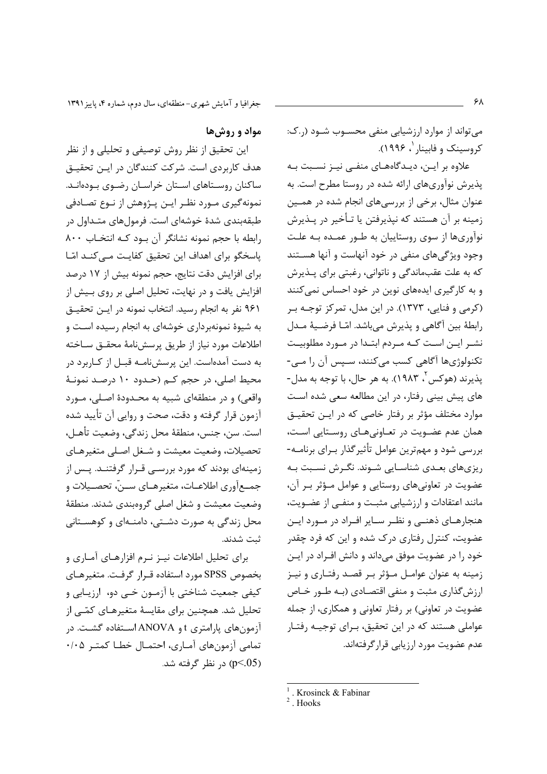جغرافیا و آمایش شهری-منطقهای، سال دوم، شماره ۴، پاییز ۱۳۹۱

این تحقیق از نظر روش توصیفی و تحلیلی و از نظر هدف کاربردی است. شرکت کنندگان در ایـن تحقیـق

ساکنان روستاهای استان خراسان رضوی بودهانـد.

نمونه گیری مــورد نظـر ایــن پــژوهش از نــوع تصــادفی

طبقهبندی شدهٔ خوشهای است. فرمولهای متـداول در

رابطه با حجم نمونه نشانگر آن بود کـه انتخـاب ٨٠٠ یاسخگو برای اهداف این تحقیق کفایت مے کنـد امّـا

برای افزایش دقت نتایج، حجم نمونه بیش از ۱۷ درصد

افزایش یافت و در نهایت، تحلیل اصلی بر روی بـیش از

۹۶۱ نفر به انجام رسید. انتخاب نمونه در ایـن تحقیـق

به شیوهٔ نمونهبرداری خوشهای به انجام رسیده است و

اطلاعات مورد نياز از طريق پرسشنامهٔ محقـق سـاخته

به دست آمدهاست. این پرسشiامـه قبــل از کــاربرد در محیط اصلی، در حجم کـم (حـدود ۱۰ درصـد نمونـهٔ

واقعي) و در منطقهاي شبيه به محـدودهٔ اصـلي، مـورد

آزمون قرار گرفته و دقت، صحت و روایی آن تأیید شده

است. سن، جنس، منطقهٔ محل زندگی، وضعیت تأهـل،

تحصیلات، وضعیت معیشت و شـغل اصـلی متغیرهـای

زمینهای بودند که مورد بررسـی قـرار گرفتنـد. پـس از

جمــع|ٓوري اطلاعــات، متغيرهــاي ســنّ، تحصــيلات و

وضعیت معیشت و شغل اصلی گروهبندی شدند. منطقهٔ

محل زندگی به صورت دشـتی، دامنــهای و کوهسـتانی

برای تحلیل اطلاعات نیـز نـرم افزارهـای آمـاری و

بخصوص SPSS مورد استفاده قرار گرفت. متغیرهـای کیفی جمعیت شناختی با آزمـون خـی دو، ارزیـابی و

تحلیل شد. همچنین برای مقایسهٔ متغیرهـای کمّـے از

آزمون های پارامتری t و ANOVA استفاده گشت. در

تمامی آزمونهای آماری، احتمـال خطـا کمتـر ۰/۰۵

مواد و روش ها

می تواند از موارد ارزشیابی منفی محسوب شـود (ر.ک: کروسینک و فابینار <sup>۱</sup> ۱۹۹۶).

علاوه بر ایـن، دیـدگاههـای منفـی نیـز نسـبت بـه پذیرش نوآوریهای ارائه شده در روستا مطرح است. به عنوان مثال، برخی از بررسیهای انجام شده در همـین زمینه بر آن هستند که نیذیرفتن یا تـأخیر در پـذیرش نوآوریها از سوی روستاییان به طـور عمـده بـه علـت وجود ویژگیهای منفی در خود آنهاست و آنها هستند که به علت عقبماندگی و ناتوانی، رغبتی برای پـذیرش و به کارگیری ایدههای نوین در خود احساس نمی کنند (کرمی و فنایی، ۱۳۷۳). در این مدل، تمرکز توجـه بـر رابطهٔ بین آگاهی و پذیرش میباشد. امّـا فرضـیهٔ مـدل نشـر ايـن اسـت كـه مـردم ابتـدا در مـورد مطلوبيـت تکنولوژیها آگاهی کسب میکنند، سـپس آن را مـی-پذيرند (هوكس ّ، ١٩٨٣). به هر حال، با توجه به مدل-های پیش بینی رفتار، در این مطالعه سعی شده است موارد مختلف مؤثر بر رفتار خاصی که در ایـن تحقیـق همان عدم عضـویت در تعـاونیهـای روسـتایی اسـت، بررسی شود و مهمترین عوامل تأثیرگذار بـرای برنامـه-ریزیهای بعـدی شناسـایی شـوند. نگـرش نسـبت بـه عضویت در تعاونیهای روستایی و عوامل موؤثر بر آن، مانند اعتقادات و ارزشیابی مثبت و منفـی از عضـویت، هنجارهای ذهنی و نظر سایر افراد در مورد این عضویت، کنترل رفتاری درک شده و این که فرد چقدر خود را در عضویت موفق میداند و دانش افـراد در ایـن زمینه به عنوان عوامـل مـؤثر بـر قصـد رفتـاری و نیـز ارزش گذاری مثبت و منفی اقتصادی (بـه طـور خـاص عضویت در تعاونی) بر رفتار تعاونی و همکاری، از جمله عواملی هستند که در این تحقیق، بـرای توجیـه رفتـار عدم عضویت مورد ارزیابی قرار گرفتهاند.

p<.05) در نظر گرفته شد.

ثبت شدند.

۶۸

 $^1$ . Krosinck & Fabinar

<sup>&</sup>lt;sup>2</sup> Hooks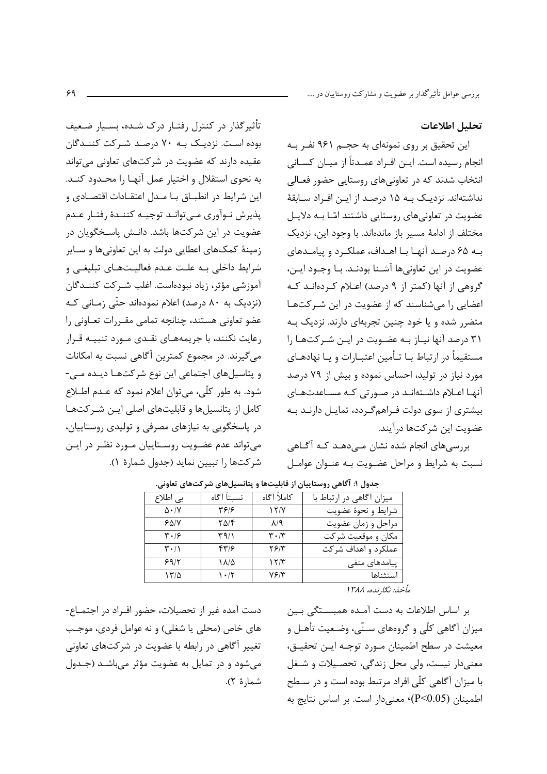بررسی عوامل تأثیرگذار بر عضویت و مشارکت روستاییان در ….

### تحليل اطلاعات

این تحقیق بر روی نمونهای به حجـم ۹۶۱ نفـر بـه انجام رسیده است. ایــن افــراد عمــدتاً از میــان کســانی انتخاب شدند که در تعاونیهای روستایی حضور فعـالی نداشتهاند. نزدیـک بـه ۱۵ درصـد از ایـن افـراد سـابقهٔ عضویت در تعاونی های روستایی داشتند امّا بـه دلایـل مختلف از ادامهٔ مسیر باز ماندهاند. با وجود این، نزدیک بـه ۶۵ درصـد آنهـا بـا اهـداف، عملكـرد و پيامـدهاى عضويت در اين تعاوني ها آشــنا بودنــد. بــا وجــود ايــن، گروهی از آنها (کمتر از ۹ درصد) اعـلام کـردهانـد کـه اعضایی را میشناسند که از عضویت در این شـرکتهـا متضرر شده و یا خود چنین تجربهای دارند. نزدیک بـه ۳۱ درصد آنها نیـاز بـه عضـویت در ایـن شـرکتهـا را مستقیماً در ارتباط بـا تـأمین اعتبـارات و پـا نهادهـای مورد نیاز در تولید، احساس نموده و بیش از ۷۹ درصد آنها اعـلام داشـتهانـد در صـورتی کـه مسـاعدتهـای بیشتری از سوی دولت فـراهمگـردد، تمایـل دارنـد بـه عضويت ابن شركتها درآيند.

بررسیهای انجام شده نشان مے دهـد کـه آگـاهی نسبت به شرایط و مراحل عضـویت بـه عنـوان عوامـل

| تأثیرگذار در کنترل رفتـار درک شـده، بسـیار ضـعیف        |
|---------------------------------------------------------|
| بوده است. نزدیـک بـه ۷۰ درصـد شـرکت کننـدگان            |
| عقیده دارند که عضویت در شرکتهای تعاونی میتواند          |
| به نحوی استقلال و اختیار عمل آنهـا را محـدود کنـد.      |
| این شرایط در انطبــاق بــا مــدل اعتقــادات اقتصــادی و |
| پذيرش نـوآورى مـىتوانـد توجيـه كننـدهٔ رفتـار عـدم      |
| عضویت در این شرکتها باشد. دانـش پاسـخگویان در           |
| زمینهٔ کمکهای اعطایی دولت به این تعاونیها و سـایر       |
| شرایط داخلی بـه علـت عـدم فعالیـتهـای تبلیغـی و         |
| آموزشی مؤثر، زیاد نبودهاست. اغلب شـرکت کننــدگان        |
| (نزدیک به ۸۰ درصد) اعلام نمودهاند حتّی زمـانی کـه       |
| عضو تعاونی هستند، چنانچه تمامی مقـررات تعـاونی را       |
| رعایت نکنند، با جریمههـای نقـدی مـورد تنبیــه قـرار     |
| میگیرند. در مجموع کمترین آگاهی نسبت به امکانات          |
| و پتاسیلهای اجتماعی این نوع شرکتهـا دیـده مـی-          |
| شود. به طور کلّی، میتوان اعلام نمود که عـدم اطــلاع     |
| کامل از پتانسیلها و قابلیتهای اصلی ایـن شـرکتهـا        |
| در پاسخگویی به نیازهای مصرفی و تولیدی روستاییان،        |
| میتواند عدم عضـویت روسـتاییان مـورد نظـر در ایـن        |
| شركتها را تبيين نمايد (جدول شمارهٔ ۱).                  |
|                                                         |

| بی اطلاع                        | نسىتاً آگاه      | كاملأ أگاه                    | میزان آگاهی در ارتباط با |
|---------------------------------|------------------|-------------------------------|--------------------------|
| $\Delta \cdot / V$              | 4818             | 15/7                          | شرايط و نحوهٔ عضويت      |
| 50/1                            | ۲۵/۴             | $\lambda$ /٩                  | مراحل و زمان عضویت       |
| $\mathbf{y} \cdot \mathbf{z}$   | $\mathcal{M}(1)$ | $\mathbf{r} \cdot \mathbf{r}$ | مکان و موقعیت شرکت       |
| $\mathbf{r} \cdot / \mathbf{r}$ | ۴۳۱۶             | $Y \mathcal{F}/Y$             | عملکرد و اهداف شر کت     |
| 99/7                            | ۱۸/۵             | 15/T                          | پیامدهای منفی            |
| 17/2                            | 1.7              | ۷۶۱۳                          | استثناها                 |

.<br>جدول ۱: آگاهي روستاييان از قابليتها و پتانسيلهاي شركتهاي تعاوني.

مأخذ: نگا, نده، ۱۳۸۸

دست آمده غیر از تحصیلات، حضور افـراد در اجتمــاع-های خاص (محلي یا شغلي) و نه عوامل فردی، موجـب تغییر آگاهی در رابطه با عضویت در شرکتهای تعاونی می شود و در تمایل به عضویت مؤثر می باشـد (جـدول شمارهٔ ۲).

بر اساس اطلاعات به دست آمـده همبسـتگی بـین میزان آگاهی کلّی و گروههای سـنّی، وضـعیت تأهـل و معيشت در سطح اطمينان مـورد توجـه ايـن تحقيـق، معنی دار نیست، ولی محل زندگی، تحصیلات و شغل با میزان آگاهی کلّی افراد مرتبط بوده است و در سـطح اطمينان (P<0.05) معنى دار است. بر اساس نتايج به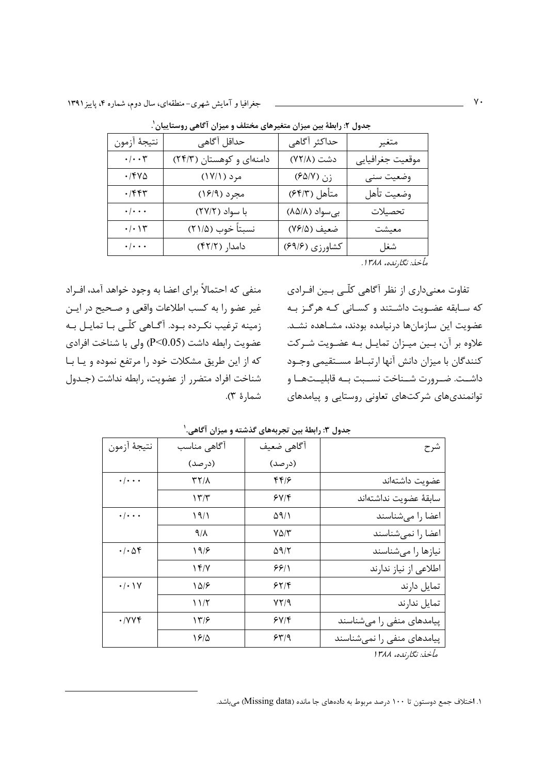| نتيجهٔ آزمون                 | حداقل آگاهی              | حداكثر أگاهي   | متغير            |
|------------------------------|--------------------------|----------------|------------------|
| $\cdot/\cdot\cdot$ ۳         | دامنهای و کوهستان (۲۴/۳) | دشت (٧٢/٨)     | موقعيت جغرافيايي |
| ۰/۴۷۵                        | مرد (۱۷/۱)               | زن (۶۵/۷)      | وضعيت سنى        |
| $\cdot$ /۴۴۳                 | مجرد (۱۶/۹)              | متأهل (۶۴/۳)   | وضعيت تأهل       |
| $\cdot/\cdot\cdot\cdot$      | با سواد (٢٧/٢)           | بیسواد (۸۵/۸)  | تحصيلات          |
| $\cdot/\cdot$ \ $\mathsf{Y}$ | نسبتاً خوب (٢١/۵)        | ضعيف (٧۶/۵)    | معيشت            |
| $\cdot/\cdot\cdot\cdot$      | دامدار (۴۲/۲)            | کشاورزی (۶۹/۶) | شغل              |
|                              |                          |                |                  |

جدول ۲: رابطهٔ بین میزان متغیرهای مختلف و میزان آگاهی روستاییان ٰ.

مأخذ: نگارنده، ۱۳۸۸.

منفی که احتمالاً برای اعضا به وجود خواهد آمد، افـراد غير عضو را به كسب اطلاعات واقعي و صحيح در ايـن زمینه ترغیب نکـرده بـود. آگـاهی کلّـی بـا تمایـل بـه عضويت رابطه داشت (P<0.05) ولي با شناخت افرادي که از این طریق مشکلات خود را مرتفع نموده و یـا بـا شناخت افراد متضرر از عضويت، رابطه نداشت (جـدول شمارهٔ ۳).

تفاوت معنیداری از نظر آگاهی کلّبی بـین افـرادی که سـابقه عضـویت داشـتند و کسـانی کـه هرگـز بـه عضويت اين سازمانها درنيامده بودند، مشـاهده نشـد. علاوه بر آن، بـين ميـزان تمايـل بـه عضـويت شـركت كنندگان با ميزان دانش آنها ارتبـاط مسـتقيمي وجـود داشــت. ضــرورت شــناخت نســبت بــه قابليــتهــا و توانمندیهای شرکتهای تعاونی روستایی و پیامدهای

| شرح                        | آگاهی ضعیف   | آگاهی مناسب        | نتيجة آزمون                  |
|----------------------------|--------------|--------------------|------------------------------|
|                            | (درصد)       | (درصد)             |                              |
| عضويت داشتهاند             | f(f)         | $\tau\tau/\lambda$ | $\cdot/\cdot\cdot\cdot$      |
| سابقة عضويت نداشتهاند      | 5Y/F         | ۱۳/۳               |                              |
| اعضا را می شناسند          | $\Delta$ 9/1 | 19/1               | $\cdot$ / $\cdot$ $\cdot$    |
| اعضا را نمى شناسند         | ۷۵/۳         | 9/1                |                              |
| نیازها را میشناسند         | $\Delta$ 9/٢ | 19/8               | $\cdot$ / $\cdot$ $\Delta f$ |
| اطلاعی از نیاز ندارند      | ۶۶۱۱         | ۱۴/۷               |                              |
| تمايل دارند                | ۶۲/۴         | ۱۵۱۶               | $\cdot/\cdot\vee$            |
| تمایل ندارند               | 7219         | ۱۱/۲               |                              |
| پیامدهای منفی را میشناسند  | 5Y/F         | ۱۳۶                | $\cdot$ /yyf                 |
| پیامدهای منفی را نمیشناسند | 54/9         | 1810               |                              |
| مأخذ: نگارنده، ۱۳۸۸        |              |                    |                              |

جدول ٣: رابطهٔ بین تجربههای گذشته و میزان آگاهی.'

۱. اختلاف جمع دوستون تا ۱۰۰ درصد مربوط به دادههای جا مانده (Missing data) میباشد.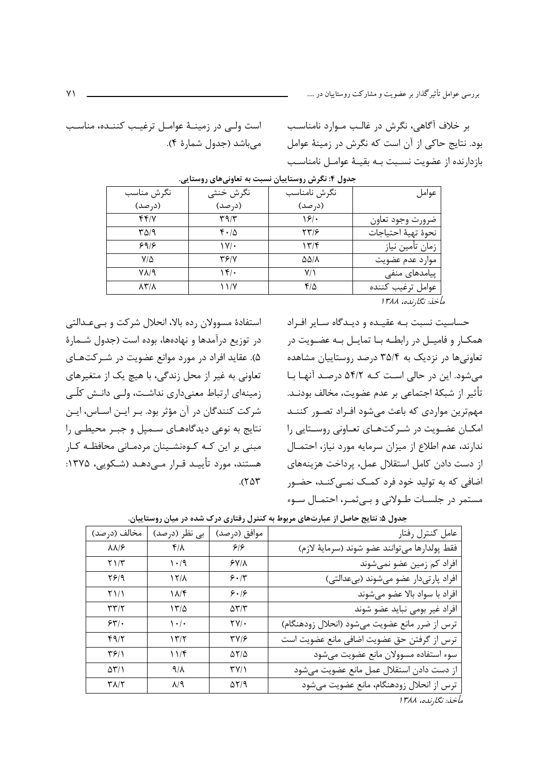بررسی عوامل تأثیرگذار بر عضویت و مشارکت روستاییان در ….

بر خلاف آگاهی، نگرش در غالب مـوارد نامناسـب بود. نتایج حاکی از آن است که نگرش در زمینهٔ عوامل بازدارنده از عضويت نسـبت بـه بقيــهٔ عوامــل نامناسـب

| عوامل              | نگرش نامناسب | نگرش خنثی                    | نگرش مناسب          |
|--------------------|--------------|------------------------------|---------------------|
|                    | (در صد)      | (درصد)                       | (در صد)             |
| ضرورت وجود تعاون   | ۱۶۱۰         | $\mathbf{r}$ 9/ $\mathbf{r}$ | f f / V             |
| نحوة تهية احتياجات | ۲۳۱۶         | $f \cdot \Delta$             | ۳۵/۹                |
| زمان تأمين نياز    | ۱۳۱۴         | $\mathsf{V}/\mathsf{L}$      | 99/                 |
| موارد عدم عضويت    | ۵۵/۸         | 36/Y                         | $V/\Delta$          |
| پیامدهای منفی      | ۷۱           | $\sqrt{5}/4$                 | V 1/9               |
| عوامل ترغيب كننده  | ۴۱۵          | ۱۱/۷                         | $\lambda Y/\lambda$ |
|                    |              |                              |                     |

| جدول ۴: نگرش روستاییان نسبت به تعاونیهای روستایر |  |  |  |  |  |  |
|--------------------------------------------------|--|--|--|--|--|--|
|--------------------------------------------------|--|--|--|--|--|--|

مأخذ: نگارنده، ۱۳۸۸

حساسیت نسبت بـه عقیـده و دیـدگاه سـایر افـراد همکار و فامیـل در رابطـه بـا تمایـل بـه عضـویت در تعاونی ها در نزدیک به ۳۵/۴ درصد روستاییان مشاهده میشود. این در حالی است کـه ۵۴/۲ درصـد آنهـا بـا تأثير از شبكهٔ اجتماعي بر عدم عضويت، مخالف بودنــد. مهم ترین مواردی که باعث می شود افـراد تصـور کننــد امکــان عضــویت در شــرکتهــای تعــاونی روســتایی را ندارند، عدم اطلاع از میزان سرمایه مورد نیاز، احتمـال از دست دادن کامل استقلال عمل، پرداخت هزینههای اضافی که به تولید خود فرد کمـک نمـی کنـد، حضـور مستمر در جلسـات طـولانی و بـی ثمـر، احتمـال سـوء

استفادهٔ مسوولان رده بالا، انحلال شرکت و بےعدالتی در توزیع درآمدها و نهادهها، بوده است (جدول شـمارهٔ ۵). عقاید افراد در مورد موانع عضویت در شــرکتهــای تعاونی به غیر از محل زندگی، با هیچ یک از متغیرهای زمینهای ارتباط معنیداری نداشت، ولی دانـش کلّـی شرکت کنندگان در آن مؤثر بود. بـر ایـن اسـاس، ایـن نتایج به نوعی دیدگاههای سـمپل و جبـر محیطـی را مبنی بر این کـه کـوهنشـینان مردمـانی محافظـه کـار هستند، مورد تأييـد قـرار مـيcهـد (شـكويي، ۱۳۷۵:  $.(\Upsilon \Delta \Upsilon)$ 

| مخالف (درصد)                 | بی نظر (درصد)                   | موافق (درصد)               | عامل كنترل رفتار                              |
|------------------------------|---------------------------------|----------------------------|-----------------------------------------------|
| $\lambda\lambda/\mathcal{F}$ | $f/\lambda$                     | ۶۱۶                        | فقط پولدارها مىتوانند عضو شوند (سرماية لازم)  |
| $Y \frac{1}{T}$              | ۱۰/۹                            | $5Y/\lambda$               | افراد کم زمین عضو نمیشوند                     |
| ۲۶۱۹                         | ۱۲۸                             | 5.1                        | افراد پارتیدار عضو میشوند (بیعدالتی)          |
| ۲۱/۱                         | $1\lambda$ /۴                   | 9.19                       | افراد با سواد بالا عضو میشوند                 |
| $\tau\tau/\tau$              | ۱۳۵۵                            | $\Delta \Upsilon/\Upsilon$ | افراد غير بومي نبايد عضو شوند                 |
| 55.                          | $\mathcal{N} \cdot \mathcal{N}$ | $\Upsilon V/\cdot$         | ترس از ضرر مانع عضویت میشود (انحلال زودهنگام) |
| 4917                         | $\frac{14}{7}$                  | 31YY                       | ترس از گرفتن حق عضویت اضافی مانع عضویت است    |
| ۳۶۱۱                         | 117                             | $\Delta \Upsilon/\Delta$   | سوء استفاده مسوولان مانع عضويت مىشود          |
| $\Delta \Upsilon / \Upsilon$ | ۹/۸                             | $\Upsilon V/\Upsilon$      | از دست دادن استقلال عمل مانع عضويت مىشود      |
| $\Upsilon \Lambda/\Upsilon$  | $\lambda$ /٩                    | $\Delta Y$ /9              | ترس از انحلال زودهنگام، مانع عضویت میشود      |

جدول ۵: نتایج حاصل از عبارتهای مربوط به کنترل رفتاری درک شده در میان روستاییان.

مأخذ: نگارنده، ۱۳۸۸

 $Y<sub>1</sub>$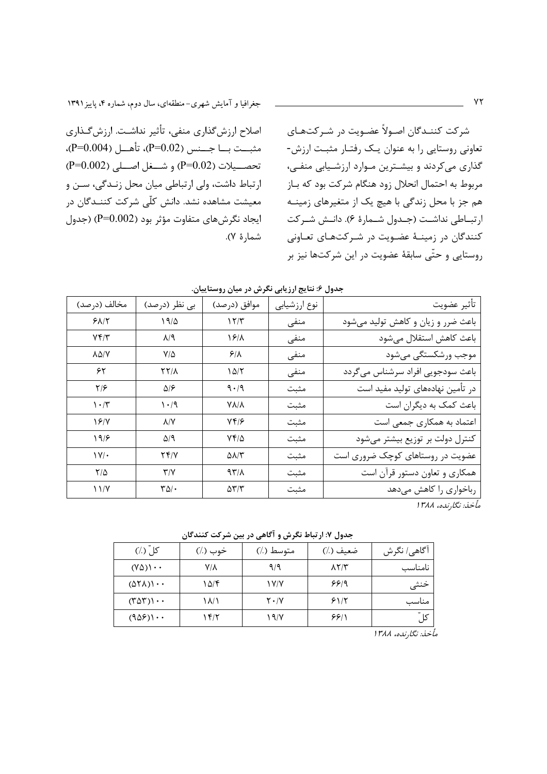اصلاح ارزشگذاری منفی، تأثیر نداشت. ارزشگذاری مثبــت بـــا جـــنس (P=0.02)، تأهـــل (P=0.004)،  $(P=0.002)$  تحصيلات (P=0.02) و شــغل اصــلي (P=0.002 ارتباط داشت، ولي ارتباطي ميان محل زنـدگي، سـن و معیشت مشاهده نشد. دانش کلّی شرکت کننـدگان در ایجاد نگرشهای متفاوت مؤثر بود (P=0.002) (جدول شمارة ٧).

شرکت کننـدگان اصـولاً عضـویت در شـرکتهـای تعاونی روستایی را به عنوان یـک رفتـار مثبـت ارزش-گذاری میکردند و بیشـترین مـوارد ارزشـیابی منفـی، مربوط به احتمال انحلال زود هنگام شركت بود كه بـاز هم جز با محل زندگی با هیچ یک از متغیرهای زمینــه ار تبــاطي نداشــت (جــدول شــمارهٔ ۶). دانــش شــر کت کنندگان در زمینـهٔ عضـویت در شـرکتهـای تعـاونی روستایی و حتّی سابقهٔ عضویت در این شرکتها نیز بر

| مخالف (درصد)                  | بی نظر (درصد)                     | موافق (درصد)               | نوع ارزشيابي | تأثير عضويت                        |
|-------------------------------|-----------------------------------|----------------------------|--------------|------------------------------------|
| $Y\Lambda/\Upsilon$           | 19/2                              | 17/T                       | منفى         | باعث ضرر و زیان و کاهش تولید میشود |
| Yf/Y                          | $A/\lambda$                       | 18/1                       | منفى         | باعث كاهش استقلال مىشود            |
| AQ/Y                          | $V/\Delta$                        | $5/\lambda$                | منفى         | موجب ورشكستگى مىشود                |
| ۶۲                            | <b>YY/1</b>                       | ۱۵/۲                       | منفى         | باعث سودجويي افراد سرشناس مي گردد  |
| ۲۱۶                           | ۵۱۶                               | 9.49                       | مثبت         | در تأمین نهادههای تولید مفید است   |
| $\mathcal{N}\cdot\mathcal{N}$ | $\mathcal{N} \cdot \mathcal{N}$   | V V / V                    | مثبت         | باعث کمک به دیگران است             |
| 18/Y                          | $\lambda/Y$                       | 7416                       | مثبت         | اعتماد به همکاری جمعی است          |
| $19/$ ۶                       | $\Delta/\mathcal{A}$              | $Yf/\Delta$                | مثبت         | کنترل دولت بر توزیع بیشتر میشود    |
| $\mathcal{W}/\mathcal{A}$     | 74/Y                              | $\Delta\lambda/\Upsilon$   | مثبت         | عضویت در روستاهای کوچک ضروری است   |
| $\frac{1}{2}$                 | Y/Y                               | $97/\lambda$               | مثبت         | همکاری و تعاون دستور قرآن است      |
| 11/Y                          | $\mathbf{r}\mathbf{v}/\mathbf{v}$ | $\Delta \Upsilon/\Upsilon$ | مثبت         | رباخواری را کاهش میدهد             |

جدول ۶: نتایج ارزیابی نگرش در میان روستاییان.

مأخذ: نگارنده، ۱۳۸۸

جدول ۷: ارتباط نگرش و آگاهی در بین شرکت کنندگان

| کلّ (٪)                                 | خوب (٪) | متوسط (٪)     | ضعيف (٪)      | آگاهي/ نگرش |
|-----------------------------------------|---------|---------------|---------------|-------------|
| $(Y\Delta)$ $\cdots$                    | Y/A     | ۹/۹           | $\lambda Y/Y$ | نامناسب     |
| $(\Delta \Upsilon \Lambda) \cdot \cdot$ | ۱۵/۴    | ۱۷/۷          | 999           | خنثى        |
| $(T\Delta T)$                           | ۱۸/۱    | $Y \cdot / Y$ | 51/5          | مناسب       |
| $(908) \cdot \cdot$                     | ۱۴/۲    | 19/           | ۶۶۱۱          | کل ّ        |
|                                         |         |               |               |             |

مأخذ: نگارنده، ۱۳۸۸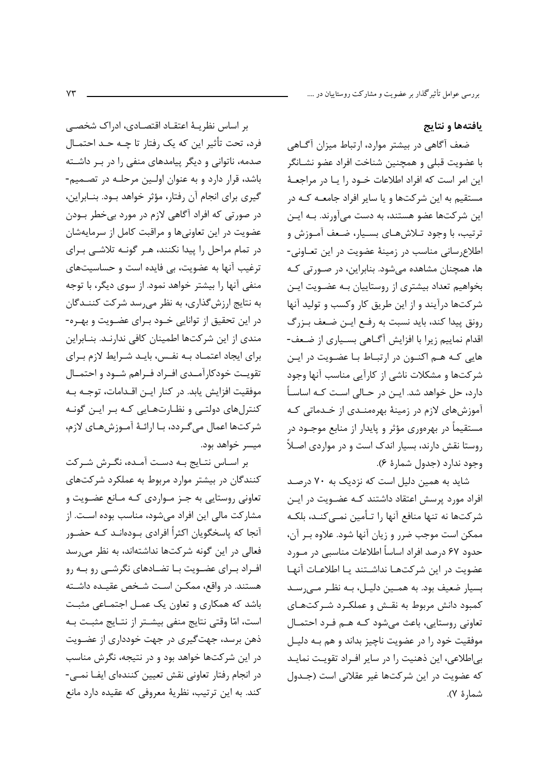بررسی عوامل تأثیرگذار بر عضویت و مشارکت روستاییان در ….

### يافتهها و نتايج

ضعف آگاهی در بیشتر موارد، ارتباط میزان آگـاهی با عضويت قبلي و همچنين شناخت افراد عضو نشـانگر این امر است که افراد اطلاعات خـود را یـا در مراجعـهٔ مستقیم به این شرکتها و یا سایر افراد جامعـه کـه در این شرکتها عضو هستند، به دست میآورند. بـه ایـن ترتیب، با وجود تـلاشهـای بسـیار، ضـعف آمـوزش و اطلاع سانی مناسب در زمینهٔ عضویت در این تعـاونی-ها، همچنان مشاهده میشود. بنابراین، در صورتی کـه بخواهیم تعداد بیشتری از روستاییان بـه عضـویت ایـن شرکتها درآیند و از این طریق کار وکسب و تولید آنها رونق پیدا کند، باید نسبت به رفع ایـن ضـعف بـزرگ اقدام نماییم زیرا با افزایش آگـاهی بسـیاری از ضـعف-هایی کـه هـم اکنـون در ارتبـاط بـا عضـویت در ایـن شرکتها و مشکلات ناشی از کارآیی مناسب آنها وجود دارد، حل خواهد شد. ایــن در حــالی اســت کــه اساســاً آموزشهای لازم در زمینهٔ بهرهمنـدی از خـدماتی کـه مستقیماً در بهرهوری مؤثر و پایدار از منابع موجــود در روستا نقش دارند، بسیار اندک است و در مواردی اصـلاً وجود ندارد (جدول شمارة ٤).

شاید به همین دلیل است که نزدیک به ۷۰ درصد افراد مورد پرسش اعتقاد داشتند کـه عضـویت در ایـن شركتها نه تنها منافع آنها را تـأمين نمـيكنـد، بلكـه ممكن است موجب ضرر و زيان آنها شود. علاوه بر آن، حدود ۶۷ درصد افراد اساساً اطلاعات مناسبی در مــورد عضويت در اين شركتهـا نداشــتند يـا اطلاعـات آنهـا بسیار ضعیف بود. به همـین دلیـل، بـه نظـر مـی رسـد کمبود دانش مربوط به نقـش و عملکـرد شـرکتهـای تعاونی روستایی، باعث می شود کـه هـم فـرد احتمـال موفقیت خود را در عضویت ناچیز بداند و هم بـه دلیـل بیاطلاعی، این ذهنیت را در سایر افراد تقویت نماید كه عضويت در اين شركتها غير عقلاني است (جـدول شما, هٔ ۷).

بر اساس نظریـهٔ اعتقـاد اقتصـادی، ادراک شخصــی فرد، تحت تأثير اين كه يک رفتار تا چــه حــد احتمــال صدمه، ناتوانی و دیگر پیامدهای منفی را در بـر داشـته باشد، قرار دارد و به عنوان اولین مرحلـه در تصـمیم-گیری برای انجام آن رفتار، مؤثر خواهد بـود. بنــابراین، در صورتی که افراد آگاهی لازم در مورد بیخطر بــودن عضویت در این تعاونیها و مراقبت کامل از سرمایهشان در تمام مراحل را پیدا نکنند، هـر گونـه تلاشـی بـرای ترغیب آنها به عضویت، بی فایده است و حساسیتهای منفی آنها را بیشتر خواهد نمود. از سوی دیگر، با توجه به نتایج ارزشگذاری، به نظر می رسد شرکت کننــدگان در این تحقیق از توانایی خــود بــرای عضــویت و بهــره-مندی از این شرکتها اطمینان کافی ندارنـد. بنـابراین برای ایجاد اعتمـاد بـه نفـس، بایـد شـرایط لازم بـرای تقويـت خودكارآمـدي افـراد فـراهم شـود و احتمـال موفقیت افزایش یابد. در کنار ایـن اقـدامات، توجـه بـه کنترلهای دولتے و نظارتهایی کـه بـر ایـن گونـه شركتها اعمال مي گـردد، بـا ارائـهٔ آمـوزشهـاي لازم، میسر خواهد بود.

بر اسـاس نتـايج بـه دسـت آمـده، نگـرش شـركت کنندگان در بیشتر موارد مربوط به عملکرد شرکتهای تعاونی روستایی به جـز مـواردی کـه مـانع عضـویت و مشاركت مالي اين افراد مي شود، مناسب بوده اسـت. از آنجا که پاسخگویان اکثراً افرادی بــودهانــد کــه حضــور فعالی در این گونه شرکتها نداشتهاند، به نظر میرسد افـراد بـرای عضـویت بـا تضـادهای نگرشــی رو بـه رو هستند. در واقع، ممكـن اسـت شـخص عقيـده داشـته باشد که همکاری و تعاون یک عمـل اجتمـاعی مثبـت است، امّا وقتي نتايج منفي بيشـتر از نتـايج مثبـت بـه ذهن برسد، جهت گیری در جهت خودداری از عضـویت در این شرکتها خواهد بود و در نتیجه، نگرش مناسب در انجام رفتار تعاوني نقش تعيين كنندهاي ايفـا نمـي-كند. به اين ترتيب، نظريهٔ معروفي كه عقيده دارد مانع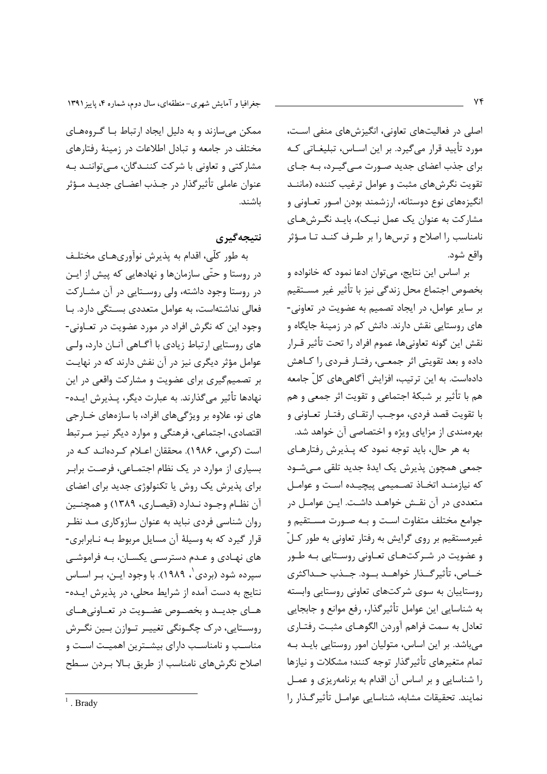اصلی در فعالیتهای تعاونی، انگیزشهای منفی است، مورد تأييد قرار ميگيرد. بر اين اسـاس، تبليغـاتي كـه برای جذب اعضای جدید صـورت مـے گیـرد، بـه جـای تقویت نگرشهای مثبت و عوامل ترغیب کننده (ماننـد انگیزههای نوع دوستانه، ارزشمند بودن امـور تعـاونی و مشارکت به عنوان یک عمل نیـک)، بایـد نگـرشهـای نامناسب را اصلاح و ترسها را بر طـرف كنـد تـا مـؤثر واقع شود.

بر اساس این نتایج، میتوان ادعا نمود که خانواده و بخصوص اجتماع محل زندگي نيز با تأثير غير مسـتقيم بر سایر عوامل، در ایجاد تصمیم به عضویت در تعاونی-های روستایی نقش دارند. دانش کم در زمینهٔ جایگاه و نقش این گونه تعاونیها، عموم افراد را تحت تأثیر قــرار داده و بعد تقویتی اثر جمعـی، رفتـار فـردی را کـاهش دادهاست. به این ترتیب، افزایش آگاهیهای کلّ جامعه هم با تأثير بر شبكهٔ اجتماعي و تقويت اثر جمعي و هم با تقویت قصد فردی، موجب ارتقـای رفتـار تعـاونی و بهرهمندی از مزایای ویژه و اختصاصی آن خواهد شد.

به هر حال، باید توجه نمود که پـذیرش رفتارهـای جمعي همچون پذيرش يک ايدۂ جديد تلقى مے شـود كه نيازمنـد اتخـاذ تصـميمي پيچيـده اسـت و عوامـل متعددی در آن نقـش خواهـد داشـت. ایـن عوامـل در جوامع مختلف متفاوت است و بـه صـورت مسـتقيم و غیرمستقیم بر روی گرایش به رفتار تعاونی به طور کلّ و عضویت در شـرکتهـای تعـاونی روسـتایی بـه طـور خــاص، تأثير گــذار خواهــد بــود. جــذب حــداكثرى روستاییان به سوی شرکتهای تعاونی روستایی وابسته به شناسایی این عوامل تأثیر گذار، رفع موانع و جابجایی تعادل به سمت فراهم آوردن الگوهـای مثبـت رفتـاری می باشد. بر این اساس، متولیان امور روستایی بایـد بـه تمام متغيرهاي تأثير گذار توجه كنند؛ مشكلات و نيازها را شناسایی و بر اساس آن اقدام به برنامه یزی و عمـل نمايند. تحقيقات مشابه، شناسايي عوامـل تأثير گـذار را

جغرافیا و آمایش شهری-منطقهای، سال دوم، شماره ۴، پاییز ۱۳۹۱

ممکن میسازند و به دلیل ایجاد ارتباط بـا گـروههـای مختلف در جامعه و تبادل اطلاعات در زمینهٔ رفتارهای مشارکتی و تعاونی با شرکت کننـدگان، مـے تواننـد بـه عنوان عاملي تأثير گذار در جـذب اعضـاي جديـد مـؤثر باشند.

نتىجەگىرى

به طور کلّی، اقدام به پذیرش نوآوریهـای مختلـف در روستا و حتّى سازمانها و نهادهايي كه پيش از ايـن در روستا وجود داشته، ولی روسـتایی در آن مشـارکت فعالی نداشتهاست، به عوامل متعددی بسـتگی دارد. بـا وجود این که نگرش افراد در مورد عضویت در تعـاونی-های روستایی ارتباط زیادی با آگـاهی آنـان دارد، ولـی عوامل مؤثر دیگری نیز در آن نفش دارند که در نهایـت بر تصمیم گیری برای عضویت و مشارکت واقعی در این نهادها تأثير مي گذارند. به عبارت ديگر، پــذيرش ايــده-های نو، علاوه بر ویژگیهای افراد، با سازههای خـارجی اقتصادی، اجتماعی، فرهنگی و موارد دیگر نیـز مـرتبط است (کرمی، ۱۹۸۶). محققان اعـلام کـردهانـد کـه در بسیاری از موارد در یک نظام اجتمـاعی، فرصـت برابـر برای پذیرش یک روش یا تکنولوژی جدید برای اعضای آن نظـام وجـود نـدارد (قيصـاري، ١٣٨٩) و همچنـين روان شناسی فردی نباید به عنوان سازوکاری مـد نظـر قرار گیرد که به وسیلهٔ آن مسایل مربوط بـه نـابرابري-های نهـادی و عـدم دسترسـی یکسـان، بـه فراموشـی سیرده شود (بردی`، ۱۹۸۹). با وجود ایـن، بـر اسـاس نتايج به دست آمده از شرايط محلي، در پذيرش ايـده-هياي جديبد و بخصيوص عضيويت در تعياوني هياي روسـتايي، درک چگـونگي تغييـر تـوازن بـين نگـرش مناسـب و نامناسـب دارای بیشـترین اهمیـت اسـت و اصلاح نگرشهای نامناسب از طریق بـالا بـردن سـطح

 $\frac{1}{2}$ . Brady